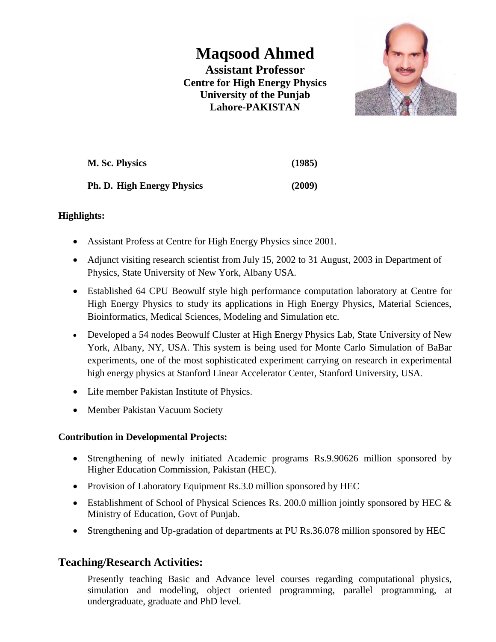# **Maqsood Ahmed**

**Assistant Professor Centre for High Energy Physics University of the Punjab Lahore-PAKISTAN**



| M. Sc. Physics                    | (1985) |
|-----------------------------------|--------|
| <b>Ph. D. High Energy Physics</b> | (2009) |

### **Highlights:**

- Assistant Profess at Centre for High Energy Physics since 2001.
- Adjunct visiting research scientist from July 15, 2002 to 31 August, 2003 in Department of Physics, State University of New York, Albany USA.
- Established 64 CPU Beowulf style high performance computation laboratory at Centre for High Energy Physics to study its applications in High Energy Physics, Material Sciences, Bioinformatics, Medical Sciences, Modeling and Simulation etc.
- Developed a 54 nodes Beowulf Cluster at High Energy Physics Lab, State University of New York, Albany, NY, USA. This system is being used for Monte Carlo Simulation of BaBar experiments, one of the most sophisticated experiment carrying on research in experimental high energy physics at Stanford Linear Accelerator Center, Stanford University, USA.
- Life member Pakistan Institute of Physics.
- Member Pakistan Vacuum Society

### **Contribution in Developmental Projects:**

- Strengthening of newly initiated Academic programs Rs.9.90626 million sponsored by Higher Education Commission, Pakistan (HEC).
- Provision of Laboratory Equipment Rs.3.0 million sponsored by HEC
- Establishment of School of Physical Sciences Rs. 200.0 million jointly sponsored by HEC & Ministry of Education, Govt of Punjab.
- Strengthening and Up-gradation of departments at PU Rs.36.078 million sponsored by HEC

# **Teaching/Research Activities:**

Presently teaching Basic and Advance level courses regarding computational physics, simulation and modeling, object oriented programming, parallel programming, at undergraduate, graduate and PhD level.